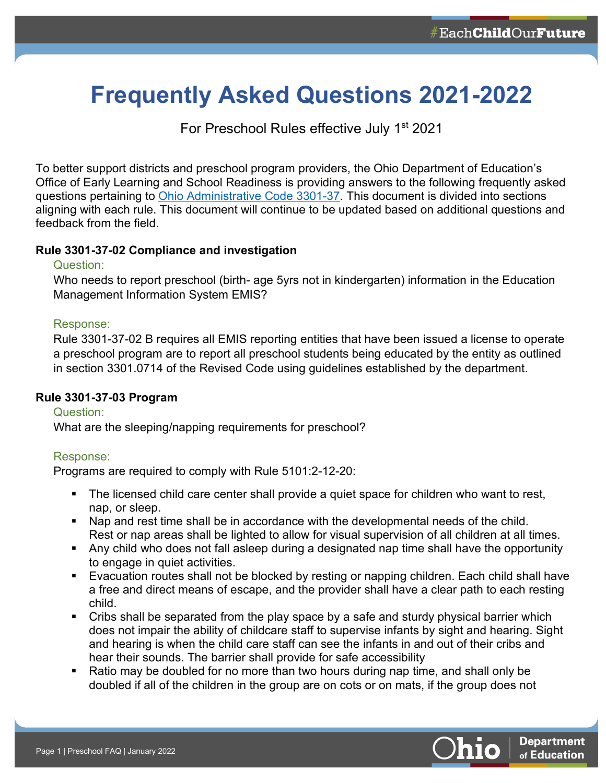# **Frequently Asked Questions 2021-2022**

For Preschool Rules effective July 1<sup>st</sup> 2021

To better support districts and preschool program providers, the Ohio Department of Education's Office of Early Learning and School Readiness is providing answers to the following frequently asked questions pertaining to [Ohio Administrative Code 3301-37.](https://codes.ohio.gov/ohio-administrative-code/chapter-3301-37) This document is divided into sections aligning with each rule. This document will continue to be updated based on additional questions and feedback from the field.

## **Rule 3301-37-02 Compliance and investigation**

## Question:

Who needs to report preschool (birth- age 5yrs not in kindergarten) information in the Education Management Information System EMIS?

## Response:

Rule 3301-37-02 B requires all EMIS reporting entities that have been issued a license to operate a preschool program are to report all preschool students being educated by the entity as outlined in section 3301.0714 of the Revised Code using guidelines established by the department.

# **Rule 3301-37-03 Program**

Question: What are the sleeping/napping requirements for preschool?

# Response:

Programs are required to comply with Rule 5101:2-12-20:

- The licensed child care center shall provide a quiet space for children who want to rest, nap, or sleep.
- Nap and rest time shall be in accordance with the developmental needs of the child. Rest or nap areas shall be lighted to allow for visual supervision of all children at all times.
- Any child who does not fall asleep during a designated nap time shall have the opportunity to engage in quiet activities.
- **Evacuation routes shall not be blocked by resting or napping children. Each child shall have** a free and direct means of escape, and the provider shall have a clear path to each resting child.
- Cribs shall be separated from the play space by a safe and sturdy physical barrier which does not impair the ability of childcare staff to supervise infants by sight and hearing. Sight and hearing is when the child care staff can see the infants in and out of their cribs and hear their sounds. The barrier shall provide for safe accessibility
- Ratio may be doubled for no more than two hours during nap time, and shall only be doubled if all of the children in the group are on cots or on mats, if the group does not

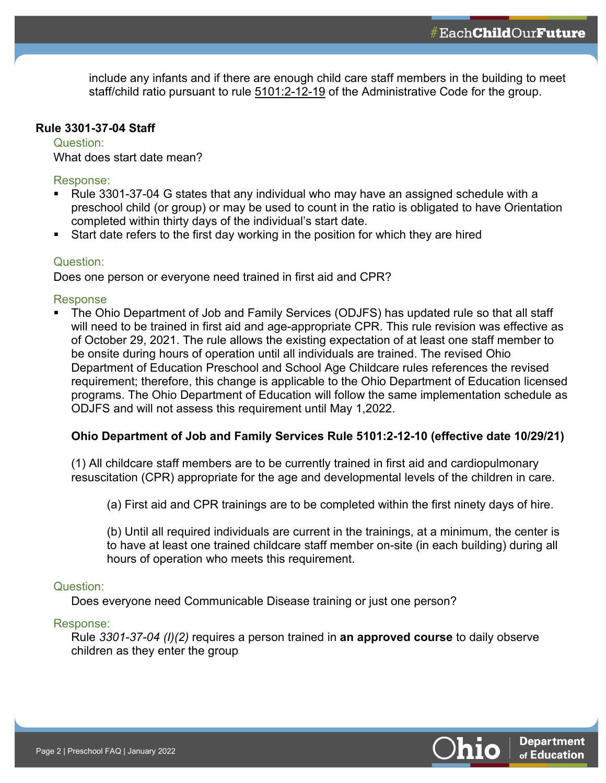include any infants and if there are enough child care staff members in the building to meet staff/child ratio pursuant to rule [5101:2-12-19](https://codes.ohio.gov/ohio-administrative-code/rule-5101:2-12-19) of the Administrative Code for the group.

#### **Rule 3301-37-04 Staff**

Question: What does start date mean?

Response:

- Rule 3301-37-04 G states that any individual who may have an assigned schedule with a preschool child (or group) or may be used to count in the ratio is obligated to have Orientation completed within thirty days of the individual's start date.
- Start date refers to the first day working in the position for which they are hired

### Question:

Does one person or everyone need trained in first aid and CPR?

Response

 The Ohio Department of Job and Family Services (ODJFS) has updated rule so that all staff will need to be trained in first aid and age-appropriate CPR. This rule revision was effective as of October 29, 2021. The rule allows the existing expectation of at least one staff member to be onsite during hours of operation until all individuals are trained. The revised Ohio Department of Education Preschool and School Age Childcare rules references the revised requirement; therefore, this change is applicable to the Ohio Department of Education licensed programs. The Ohio Department of Education will follow the same implementation schedule as ODJFS and will not assess this requirement until May 1,2022.

## **Ohio Department of Job and Family Services Rule 5101:2-12-10 (effective date 10/29/21)**

(1) All childcare staff members are to be currently trained in first aid and cardiopulmonary resuscitation (CPR) appropriate for the age and developmental levels of the children in care.

(a) First aid and CPR trainings are to be completed within the first ninety days of hire.

(b) Until all required individuals are current in the trainings, at a minimum, the center is to have at least one trained childcare staff member on-site (in each building) during all hours of operation who meets this requirement.

#### Question:

Does everyone need Communicable Disease training or just one person?

#### Response:

Rule *3301-37-04 (I)(2)* requires a person trained in **an approved course** to daily observe children as they enter the group